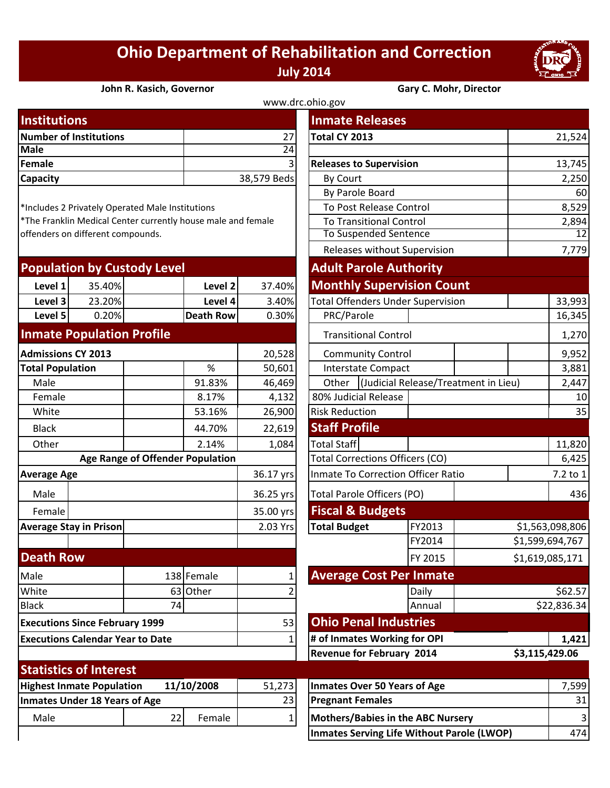## **Ohio Department of Rehabilitation and Correction July 2014**



**John R. Kasich, Governor Gary C. Mohr, Director**

| www.drc.ohio.gov              |                |                                |            |  |  |
|-------------------------------|----------------|--------------------------------|------------|--|--|
| <b>Institutions</b>           |                | <b>Inmate Releases</b>         |            |  |  |
| <b>Number of Institutions</b> | 27I            | Total CY 2013                  | 21,524     |  |  |
| <b>Male</b>                   | 24             |                                |            |  |  |
| Female                        | 3 <sup>1</sup> | <b>Releases to Supervision</b> | 13,745     |  |  |
| <b>Capacity</b>               | 38,579 Beds    | By Court                       | 2,250      |  |  |
|                               |                | <b>Du Darolo Doard</b>         | $\epsilon$ |  |  |

| <b>Population by Custody Level</b> |        |                  |        | <b>Adult Parole Authority</b>            |  |  |
|------------------------------------|--------|------------------|--------|------------------------------------------|--|--|
| Level 1                            | 35.40% | Level 2          | 37.40% | <b>Monthly Supervision Count</b>         |  |  |
| Level 3                            | 23.20% | Level 4          | 3.40%  | <b>Total Offenders Under Supervision</b> |  |  |
| Level 5                            | 0.20%  | <b>Death Row</b> | 0.30%  | PRC/Parole                               |  |  |
| Homesta Damilatina Duafila         |        |                  |        |                                          |  |  |

## **Inmate Population Profile**

| <b>Admissions CY 2013</b>               |                               |          | 20,528              |                                        | <b>Community Control</b>          |                           |  |
|-----------------------------------------|-------------------------------|----------|---------------------|----------------------------------------|-----------------------------------|---------------------------|--|
| <b>Total Population</b>                 |                               |          | %                   | 50,601                                 |                                   | <b>Interstate Compact</b> |  |
| Male                                    |                               |          | 91.83%              | 46,469                                 | Other                             | (Judicial Release/Tr      |  |
| Female                                  |                               |          | 8.17%               | 4,132                                  | 80% Judicial Release              |                           |  |
| White                                   |                               |          | 53.16%              | 26,900                                 | <b>Risk Reduction</b>             |                           |  |
| <b>Black</b>                            |                               |          | 44.70%              | 22,619                                 | <b>Staff Profile</b>              |                           |  |
| Other                                   |                               |          | 2.14%               | 1,084                                  | <b>Total Staff</b>                |                           |  |
| <b>Age Range of Offender Population</b> |                               |          |                     | <b>Total Corrections Officers (CO)</b> |                                   |                           |  |
| <b>Average Age</b>                      |                               |          | 36.17 yrs           |                                        | Inmate To Correction Officer R    |                           |  |
| Male                                    |                               |          | 36.25 yrs           |                                        | <b>Total Parole Officers (PO)</b> |                           |  |
| Female                                  |                               |          | 35.00 yrs           | <b>Fiscal &amp; Budgets</b>            |                                   |                           |  |
| <b>Average Stay in Prison</b>           |                               | 2.03 Yrs | <b>Total Budget</b> | FY2013                                 |                                   |                           |  |
|                                         |                               |          |                     |                                        |                                   | FY2014                    |  |
| <b>Death Row</b>                        |                               |          |                     |                                        |                                   | FY 2015                   |  |
| Male                                    |                               |          | 138 Female          | 1                                      | <b>Average Cost Per Inmat</b>     |                           |  |
| White                                   |                               |          | 63 Other            |                                        |                                   | Daily                     |  |
| <b>Black</b>                            |                               | 74       |                     |                                        |                                   | Annual                    |  |
| <b>Executions Since February 1999</b>   |                               |          | 53                  | <b>Ohio Penal Industries</b>           |                                   |                           |  |
| <b>Executions Calendar Year to Date</b> |                               |          | 1                   |                                        | # of Inmates Working for OPI      |                           |  |
|                                         |                               |          |                     | <b>Revenue for February 2014</b>       |                                   |                           |  |
|                                         | <b>Statistics of Interest</b> |          |                     |                                        |                                   |                           |  |

| <u>Statistics Of Interest</u>        |  |            |        |                                    |
|--------------------------------------|--|------------|--------|------------------------------------|
| <b>Highest Inmate Population</b>     |  | 11/10/2008 | 51,273 | Inmates Over 50 Years of Age       |
| <b>Inmates Under 18 Years of Age</b> |  |            | 23     | <b>Pregnant Females</b>            |
| Male                                 |  | Female     |        | Mothers/Babies in the ABC Nursery  |
|                                      |  |            |        | Inmator Corving Life Without Darok |

| <b>Number of Institutions</b><br>Total CY 2013<br>27<br><b>Male</b><br>$\overline{24}$<br>3<br><b>Releases to Supervision</b><br>38,579 Beds<br>By Court | 21,524<br>13,745<br>2,250<br>60<br>8,529 |
|----------------------------------------------------------------------------------------------------------------------------------------------------------|------------------------------------------|
|                                                                                                                                                          |                                          |
| Female<br>Capacity                                                                                                                                       |                                          |
|                                                                                                                                                          |                                          |
|                                                                                                                                                          |                                          |
| By Parole Board                                                                                                                                          |                                          |
| To Post Release Control<br>*Includes 2 Privately Operated Male Institutions                                                                              |                                          |
| *The Franklin Medical Center currently house male and female<br><b>To Transitional Control</b>                                                           | 2,894                                    |
| <b>To Suspended Sentence</b><br>offenders on different compounds.                                                                                        | 12                                       |
| Releases without Supervision                                                                                                                             | 7,779                                    |
| <b>Population by Custody Level</b><br><b>Adult Parole Authority</b>                                                                                      |                                          |
| <b>Monthly Supervision Count</b><br>35.40%<br>Level 1<br>Level 2<br>37.40%                                                                               |                                          |
| 23.20%<br>Level 4<br>3.40%<br><b>Total Offenders Under Supervision</b><br>Level 3                                                                        | 33,993                                   |
| Level 5<br>0.20%<br><b>Death Row</b><br>0.30%<br>PRC/Parole                                                                                              | 16,345                                   |
| <b>Inmate Population Profile</b><br><b>Transitional Control</b>                                                                                          | 1,270                                    |
| <b>Admissions CY 2013</b><br>20,528<br><b>Community Control</b>                                                                                          | 9,952                                    |
| <b>Total Population</b><br>%<br>50,601<br><b>Interstate Compact</b>                                                                                      | 3,881                                    |
| Other   (Judicial Release/Treatment in Lieu)<br>Male<br>91.83%<br>46,469                                                                                 | 2,447                                    |
| 80% Judicial Release<br>Female<br>8.17%<br>4,132                                                                                                         | 10                                       |
| <b>Risk Reduction</b><br>White<br>53.16%<br>26,900                                                                                                       | 35                                       |
| <b>Staff Profile</b><br>44.70%<br><b>Black</b><br>22,619                                                                                                 |                                          |
| <b>Total Staff</b><br>Other<br>2.14%<br>1,084                                                                                                            | 11,820                                   |
| <b>Total Corrections Officers (CO)</b><br><b>Age Range of Offender Population</b>                                                                        | 6,425                                    |
| Inmate To Correction Officer Ratio<br><b>Average Age</b><br>36.17 yrs                                                                                    | 7.2 to 1                                 |
| Total Parole Officers (PO)<br>Male<br>36.25 yrs                                                                                                          | 436                                      |
| <b>Fiscal &amp; Budgets</b><br>35.00 yrs<br>Female                                                                                                       |                                          |
| <b>Total Budget</b><br><b>Average Stay in Prison</b><br>2.03 Yrs<br>FY2013                                                                               | \$1,563,098,806                          |
| FY2014                                                                                                                                                   | \$1,599,694,767                          |
| <b>Death Row</b><br>FY 2015                                                                                                                              | \$1,619,085,171                          |
| <b>Average Cost Per Inmate</b><br>138 Female<br>Male                                                                                                     |                                          |
| White<br>63 Other<br>Daily<br>2                                                                                                                          | \$62.57                                  |
| <b>Black</b><br>74<br>Annual                                                                                                                             | \$22,836.34                              |
| <b>Ohio Penal Industries</b><br>53<br><b>Executions Since February 1999</b>                                                                              |                                          |
| # of Inmates Working for OPI<br><b>Executions Calendar Year to Date</b><br>1                                                                             | 1,421                                    |
| <b>Revenue for February 2014</b>                                                                                                                         | \$3,115,429.06                           |

| 1/10/2008<br>51,273 |        |    | Inmates Over 50 Years of Age               | .5991           |
|---------------------|--------|----|--------------------------------------------|-----------------|
|                     |        | 23 | <b>Pregnant Females</b>                    | 31 <sub>1</sub> |
| 22                  | Female |    | <b>Mothers/Babies in the ABC Nursery</b>   |                 |
|                     |        |    | Inmates Serving Life Without Parole (LWOP) | 4741            |